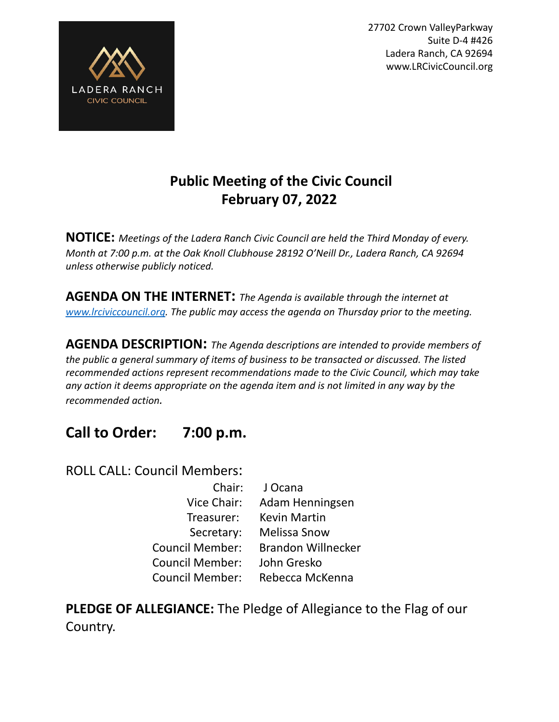



# **Public Meeting of the Civic Council February 07, 2022**

**NOTICE:** *Meetings of the Ladera Ranch Civic Council are held the Third Monday of every. Month at 7:00 p.m. at the Oak Knoll Clubhouse 28192 O'Neill Dr., Ladera Ranch, CA 92694 unless otherwise publicly noticed.*

**AGENDA ON THE INTERNET:** *The Agenda is available through the internet at [www.lrciviccouncil.org](http://www.lrciviccouncil.org). The public may access the agenda on Thursday prior to the meeting.*

**AGENDA DESCRIPTION:** *The Agenda descriptions are intended to provide members of the public a general summary of items of business to be transacted or discussed. The listed recommended actions represent recommendations made to the Civic Council, which may take any action it deems appropriate on the agenda item and is not limited in any way by the recommended action.*

# **Call to Order: 7:00 p.m.**

ROLL CALL: Council Members:

| J Ocana                   |
|---------------------------|
| Adam Henningsen           |
| <b>Kevin Martin</b>       |
| <b>Melissa Snow</b>       |
| <b>Brandon Willnecker</b> |
| John Gresko               |
| Rebecca McKenna           |
|                           |

**PLEDGE OF ALLEGIANCE:** The Pledge of Allegiance to the Flag of our Country.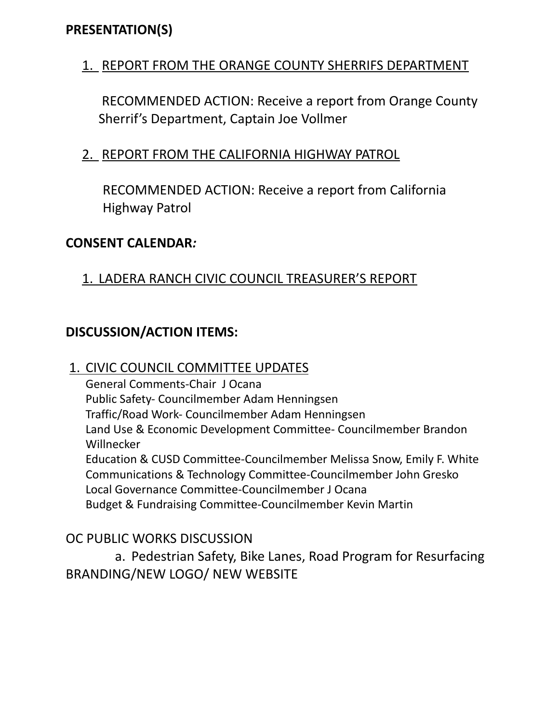# **PRESENTATION(S)**

## 1. REPORT FROM THE ORANGE COUNTY SHERRIFS DEPARTMENT

RECOMMENDED ACTION: Receive a report from Orange County Sherrif's Department, Captain Joe Vollmer

## 2. REPORT FROM THE CALIFORNIA HIGHWAY PATROL

RECOMMENDED ACTION: Receive a report from California Highway Patrol

#### **CONSENT CALENDAR***:*

### 1. LADERA RANCH CIVIC COUNCIL TREASURER'S REPORT

# **DISCUSSION/ACTION ITEMS:**

#### 1. CIVIC COUNCIL COMMITTEE UPDATES

General Comments-Chair J Ocana Public Safety- Councilmember Adam Henningsen Traffic/Road Work- Councilmember Adam Henningsen Land Use & Economic Development Committee- Councilmember Brandon **Willnecker** Education & CUSD Committee-Councilmember Melissa Snow, Emily F. White Communications & Technology Committee-Councilmember John Gresko Local Governance Committee-Councilmember J Ocana Budget & Fundraising Committee-Councilmember Kevin Martin

### OC PUBLIC WORKS DISCUSSION

a. Pedestrian Safety, Bike Lanes, Road Program for Resurfacing BRANDING/NEW LOGO/ NEW WEBSITE